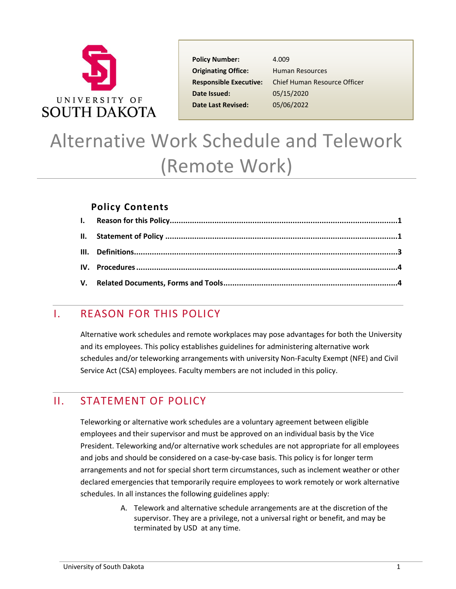

Policy Number: 4.009 **Originating Office:** Human Resources **Date Issued:** 05/15/2020 **Date Last Revised:** 05/06/2022

**Responsible Executive:** Chief Human Resource Officer

# Alternative Work Schedule and Telework (Remote Work)

#### **Policy Contents**

## <span id="page-0-0"></span>I. REASON FOR THIS POLICY

Alternative work schedules and remote workplaces may pose advantages for both the University and its employees. This policy establishes guidelines for administering alternative work schedules and/or teleworking arrangements with university Non-Faculty Exempt (NFE) and Civil Service Act (CSA) employees. Faculty members are not included in this policy.

# <span id="page-0-1"></span>II. STATEMENT OF POLICY

Teleworking or alternative work schedules are a voluntary agreement between eligible employees and their supervisor and must be approved on an individual basis by the Vice President. Teleworking and/or alternative work schedules are not appropriate for all employees and jobs and should be considered on a case-by-case basis. This policy is for longer term arrangements and not for special short term circumstances, such as inclement weather or other declared emergencies that temporarily require employees to work remotely or work alternative schedules. In all instances the following guidelines apply:

> A. Telework and alternative schedule arrangements are at the discretion of the supervisor. They are a privilege, not a universal right or benefit, and may be terminated by USD at any time.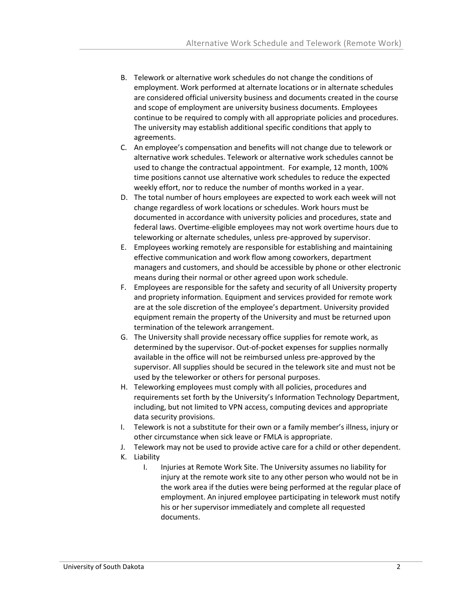- B. Telework or alternative work schedules do not change the conditions of employment. Work performed at alternate locations or in alternate schedules are considered official university business and documents created in the course and scope of employment are university business documents. Employees continue to be required to comply with all appropriate policies and procedures. The university may establish additional specific conditions that apply to agreements.
- C. An employee's compensation and benefits will not change due to telework or alternative work schedules. Telework or alternative work schedules cannot be used to change the contractual appointment. For example, 12 month, 100% time positions cannot use alternative work schedules to reduce the expected weekly effort, nor to reduce the number of months worked in a year.
- D. The total number of hours employees are expected to work each week will not change regardless of work locations or schedules. Work hours must be documented in accordance with university policies and procedures, state and federal laws. Overtime-eligible employees may not work overtime hours due to teleworking or alternate schedules, unless pre-approved by supervisor.
- E. Employees working remotely are responsible for establishing and maintaining effective communication and work flow among coworkers, department managers and customers, and should be accessible by phone or other electronic means during their normal or other agreed upon work schedule.
- F. Employees are responsible for the safety and security of all University property and propriety information. Equipment and services provided for remote work are at the sole discretion of the employee's department. University provided equipment remain the property of the University and must be returned upon termination of the telework arrangement.
- G. The University shall provide necessary office supplies for remote work, as determined by the supervisor. Out-of-pocket expenses for supplies normally available in the office will not be reimbursed unless pre-approved by the supervisor. All supplies should be secured in the telework site and must not be used by the teleworker or others for personal purposes.
- H. Teleworking employees must comply with all policies, procedures and requirements set forth by the University's Information Technology Department, including, but not limited to VPN access, computing devices and appropriate data security provisions.
- I. Telework is not a substitute for their own or a family member's illness, injury or other circumstance when sick leave or FMLA is appropriate.
- J. Telework may not be used to provide active care for a child or other dependent.
- K. Liability
	- I. Injuries at Remote Work Site. The University assumes no liability for injury at the remote work site to any other person who would not be in the work area if the duties were being performed at the regular place of employment. An injured employee participating in telework must notify his or her supervisor immediately and complete all requested documents.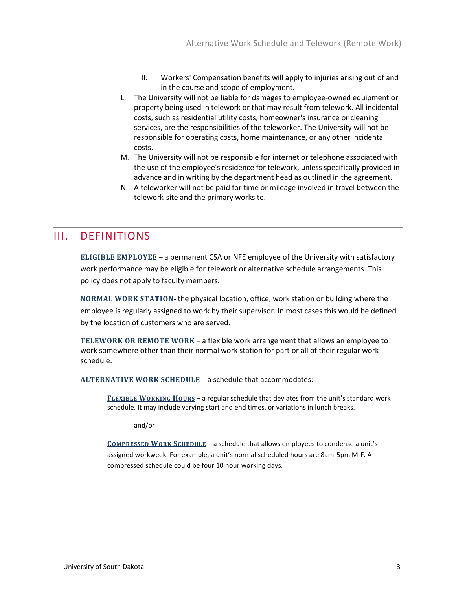- II. Workers' Compensation benefits will apply to injuries arising out of and in the course and scope of employment.
- L. The University will not be liable for damages to employee-owned equipment or property being used in telework or that may result from telework. All incidental costs, such as residential utility costs, homeowner's insurance or cleaning services, are the responsibilities of the teleworker. The University will not be responsible for operating costs, home maintenance, or any other incidental costs.
- M. The University will not be responsible for internet or telephone associated with the use of the employee's residence for telework, unless specifically provided in advance and in writing by the department head as outlined in the agreement.
- N. A teleworker will not be paid for time or mileage involved in travel between the telework-site and the primary worksite.

## <span id="page-2-0"></span>III. DEFINITIONS

**ELIGIBLE EMPLOYEE** – a permanent CSA or NFE employee of the University with satisfactory work performance may be eligible for telework or alternative schedule arrangements. This policy does not apply to faculty members.

**NORMAL WORK STATION**- the physical location, office, work station or building where the employee is regularly assigned to work by their supervisor. In most cases this would be defined by the location of customers who are served.

**TELEWORK OR REMOTE WORK** – a flexible work arrangement that allows an employee to work somewhere other than their normal work station for part or all of their regular work schedule.

**ALTERNATIVE WORK SCHEDULE** – a schedule that accommodates:

**FLEXIBLE WORKING HOURS** – a regular schedule that deviates from the unit's standard work schedule. It may include varying start and end times, or variations in lunch breaks.

and/or

**COMPRESSED WORK SCHEDULE** – a schedule that allows employees to condense a unit's assigned workweek. For example, a unit's normal scheduled hours are 8am-5pm M-F. A compressed schedule could be four 10 hour working days.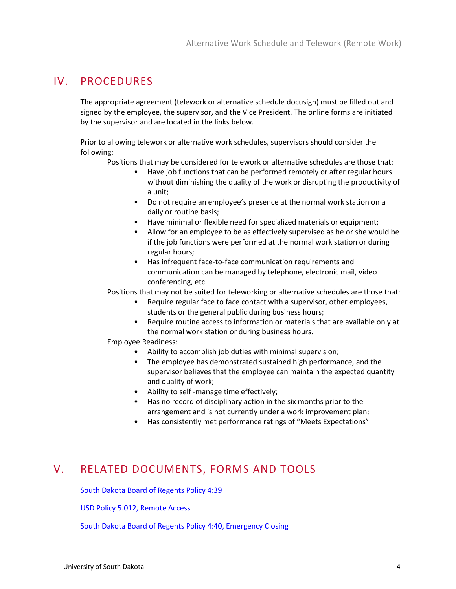### <span id="page-3-0"></span>IV. PROCEDURES

The appropriate agreement (telework or alternative schedule docusign) must be filled out and signed by the employee, the supervisor, and the Vice President. The online forms are initiated by the supervisor and are located in the links below.

Prior to allowing telework or alternative work schedules, supervisors should consider the following:

Positions that may be considered for telework or alternative schedules are those that:

- Have job functions that can be performed remotely or after regular hours without diminishing the quality of the work or disrupting the productivity of a unit;
- Do not require an employee's presence at the normal work station on a daily or routine basis;
- Have minimal or flexible need for specialized materials or equipment;
- Allow for an employee to be as effectively supervised as he or she would be if the job functions were performed at the normal work station or during regular hours;
- Has infrequent face-to-face communication requirements and communication can be managed by telephone, electronic mail, video conferencing, etc.

Positions that may not be suited for teleworking or alternative schedules are those that:

- Require regular face to face contact with a supervisor, other employees, students or the general public during business hours;
- Require routine access to information or materials that are available only at the normal work station or during business hours.

Employee Readiness:

- Ability to accomplish job duties with minimal supervision;
- The employee has demonstrated sustained high performance, and the supervisor believes that the employee can maintain the expected quantity and quality of work;
- Ability to self -manage time effectively;
- Has no record of disciplinary action in the six months prior to the arrangement and is not currently under a work improvement plan;
- Has consistently met performance ratings of "Meets Expectations"

## <span id="page-3-1"></span>V. RELATED DOCUMENTS, FORMS AND TOOLS

[South Dakota Board of Regents Policy 4:39](https://www.sdbor.edu/policy/documents/4-39.pdf)

[USD Policy 5.012, Remote Access](https://www.usd.edu/-/media/Project/USD/DotEdu/Policies/Information-and-Technology/5012-Remote-Access.pdf?rev=a88fefb0920144cebefdc1e20488283c&hash=BB4D42DD28CD0AA2FFD50EC28D8F2AC1)

[South Dakota Board of Regents Policy 4:40, Emergency Closing](https://www.sdbor.edu/policy/Documents/4-40.pdf)